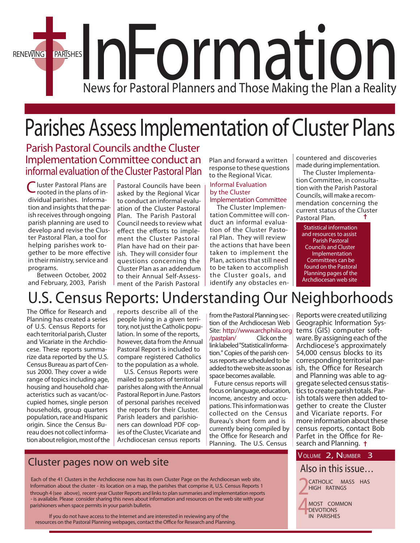

## Parishes Assess Implementation of Cluster Plans

*Parish Pastoral Councils andthe Cluster Implementation Committee conduct an informal evaluation of the Cluster Pastoral Plan*

Cluster Pastoral Plans are rooted in the plans of individual parishes. Information and insights that the parish receives through ongoing parish planning are used to develop and revise the Cluster Pastoral Plan, a tool for helping parishes work together to be more effective in their ministry, service and programs.

 Between October, 2002 and February, 2003, Parish

Pastoral Councils have been asked by the Regional Vicar to conduct an informal evaluation of the Cluster Pastoral Plan. The Parish Pastoral Council needsto review what effect the efforts to implement the Cluster Pastoral Plan have had on their parish. They will consider four questions concerning the Cluster Plan as an addendum to their Annual Self-Assessment of the Parish Pastoral

Plan and forward a written response to these questions to the Regional Vicar.

#### *Informal Evaluation by the Cluster Implementation Committee*

 The Cluster Implementation Committee will conduct an informal evaluation of the Cluster Pastoral Plan. They will review the actions that have been taken to implement the Plan, actions that still need to be taken to accomplish the Cluster goals, and identify any obstacles encountered and discoveries made during implementation.

 The Cluster Implementation Committee, in consultation with the Parish Pastoral Councils, will make a recommendation concerning the current status of the Cluster Pastoral Plan.

Statistical information and resources to assist Parish Pastoral Councils and Cluster **Implementation** Committees can be found on the Pastoral Planning pages of the Archdiocesan web site .

## U.S. Census Reports: Understanding Our Neighborhoods

The Office for Research and Planning has created a series of U.S. Census Reports for each territorial parish, Cluster and Vicariate in the Archdiocese. These reports summarize data reported by the U.S. Census Bureau as part of Census 2000. They cover a wide range of topics including age, housing and household characteristics such as vacant/occupied homes, single person households, group quarters population, race and Hispanic origin. Since the Census Bureau does not collect information about religion, most of the reports describe all of the people living in a given territory, not just the Catholic population. In some of the reports, however, data from the Annual Pastoral Report is included to compare registered Catholics to the population as a whole.

 U.S. Census Reports were mailed to pastors of territorial parishes along with theAnnual Pastoral Report in June. Pastors of personal parishes received the reports for their Cluster. Parish leaders and parishioners can download PDF copies of the Cluster, Vicariate and Archdiocesan census reports

from the Pastoral Planning section of the Archdiocesan Web Site: [http://www.archphila.org](www.archphila.org/pastplan/) /pastplan/ Clickonthe linklabeled"StatisticalInformation." Copies of the parish census reports are scheduled to be added to the web site as soon as space becomes available.

 Future census reports will focus on language, education, income, ancestry and occupations. This information was collected on the Census Bureau's short form and is currently being compiled by the Office for Research and Planning. The U.S. Census

Reports were created utilizing Geographic Information Sys- tems (GIS) computer software. By assigning each of the Archdiocese's approximately 54,000 census blocks to its corresponding territorial parish, the Office for Research and Planning was able to aggregate selected census statistics to create parish totals. Par-<br>ish totals were then added together to create the Cluster and Vicariate reports. For more information about these census reports, contact Bob Parfet in the Office for Research and Planning. †

#### *Also in this issue…*

*2* **CATHOLIC MASS HAS HIGH RATINGS**



### **Cluster pages now on web site VOLUME 2, NUMBER 3**

Each of the 41 Clusters in the Archdiocese now has its own Cluster Page on the Archdiocesan web site. Information about the cluster - its location on a map, the parishes that comprise it, U.S. Census Reports 1 through 4 (see above), recent-year Cluster Reports and linksto plan summaries and implementation reports - is available. Please consider sharing this news about information and resources on the web site with your parishioners when space permits in your parish bulletin.

**If you do not have accessto the Internet and are interested in reviewing any of the** resources on the Pastoral Planning webpages, contact the Office for Research and Planning.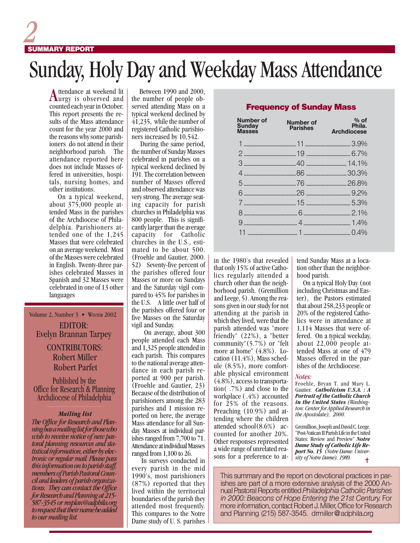# *2* **SUMMARY REPORT**

## Sunday, Holy Day and Weekday Mass Attendance

Attendance at weekend lit<br> **Aurgy** is observed and counted each year in October. This report presents the results of the Mass attendance count for the year 2000 and the reasons why some parishioners do not attend in their neighborhood parish. The attendance reported here does not include Masses offered in universities, hospitals, nursing homes, and other institutions.

 On a typical weekend, about 375,000 people attended Mass in the parishes of the Archdiocese of Philadelphia. Parishioners attended one of the 1,245 Masses that were celebrated on an average weekend. Most of the Masses were celebrated in English. Twenty-three parishes celebrated Masses in Spanish and 32 Masses were celebrated in one of 13 other languages

#### Volume 2, Number 3 • WINTER 2002 EDITOR: Evelyn Brannan Tarpey

#### Robert Parfet CONTRIBUTORS: Robert Miller

Published by the Office for Research & Planning Archdiocese of Philadelphia

#### *Mailing list*

*The Office for Research and Planning has a mailing list for those who wish to receive notice of new pastoral planning resources and statistical information, either by electronic or regular mail. Please pass this information on to parish staff, members of Parish Pastoral Council and leaders of parish organizations. They can contact the Office for Research and Planning at 215- 587-3545 or resplan@adphila.org to request that their name be added to our mailing list.*

 Between 1990 and 2000, the number of people observed attending Mass on a typical weekend declined by  $\overline{41,235}$ , while the number of registered Catholic parishioners increased by 10,542.

 During the same period, the number of Sunday Masses celebrated in parishes on a typical weekend declined by 191. The correlation between number of Masses offered and observed attendance was very strong. The average seating capacity for parish churches in Philadelphia was 800 people. This is significantly larger than the average capacity for Catholic churches in the U.S., estimated to be about 500. (Froehle and Gautier, 2000. 52) Seventy-five percent of the parishes offered four Masses or more on Sundays and the Saturday vigil compared to 45% for parishes in the U.S. A little over half of the parishes offered four or five Masses on the Saturday vigil and Sunday.

 On average, about 300 people attended each Mass and 1,325 people attended in each parish. This compares to the national average attendance in each parish reported at 900 per parish. (Froehle and Gautier, 23) Because of the distribution of parishioners among the 283 parishes and 1 mission reported on here, the average Mass attendance for all Sunday Masses at individual parishes ranged from 7,700 to 71. Attendance at individual Masses ranged from 1,100 to 26.

 In surveys conducted in every parish in the mid 1990's, most parishioners (87%) reported that they lived within the territorial boundaries of the parish they attended most frequently. This compares to the Notre Dame study of U. S. parishes

#### Frequency of Sunday Mass

| Number of<br><b>Sunday</b><br><b>Masses</b> | Number of<br><b>Parishes</b> | $%$ of<br>Phila.<br><b>Archdiocese</b> |
|---------------------------------------------|------------------------------|----------------------------------------|
|                                             |                              |                                        |
|                                             |                              |                                        |
|                                             |                              |                                        |
|                                             |                              |                                        |
|                                             |                              |                                        |
|                                             |                              |                                        |
|                                             |                              |                                        |
|                                             |                              |                                        |
|                                             |                              |                                        |
|                                             |                              |                                        |

in the 1980's that revealed that only 15% of active Catholics regularly attended a church other than the neighborhood parish. (Gremillion and Leege, 5). Among the reasons given in our study for not attending at the parish in which they lived, were that the parish attended was "more friendly" (22%), a "better community"(5.7%) or "felt more at home" (4.8%). Location (11.4%), Mass schedule (8.5%), more comfortable physical environment (4.8%), access to transportation( .7%) and close to the workplace ( .4%) accounted for 25% of the reasons. Preaching (10.9%) and attending where the children attended school(8.6%) accounted for another 20%. Other responses represented a wide range of unrelated reasons for a preference to attend Sunday Mass at a location other than the neighborhood parish.

 On a typical Holy Day (not including Christmas and Easter), the Pastors estimated that about 258,233 people or 20% of the registered Catholics were in attendance at 1,114 Masses that were offered. On a typical weekday, about 22,000 people attended Mass at one of 479 Masses offered in the parishes of the Archdiocese.

#### *Notes:*

Froehle, Bryan T. and Mary L. Gautier. *Catholicism U.S.A. : A Portrait of the Catholic Church in the United States (Washington: Center for Applied Research in the Apostolate), 2000.*

✝ Gremillion, Joseph and David C. Leege. "Post-Vatican II Parish Life in the United States: Review and Preview" *Notre Dame Study of Catholic Life Report No. 15 (Notre Dame: University of Notre Dame), 1989.*

This summary and the report on devotional practices in parishes are part of a more extensive analysis of the 2000 Annual Pastoral Reports entitled *Philadelphia Catholic Parishes in 2000: Beacons of Hope Entering the 21st Century.* For more information, contact Robert J. Miller, Office for Research and Planning (215) 587-3545. drmiller@adphila.org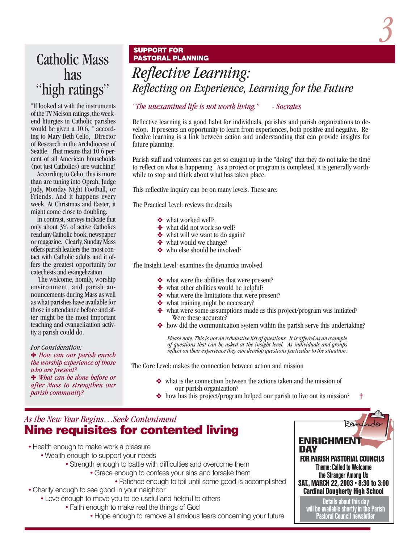

### Catholic Mass has "high ratings"

"If looked at with the instruments of the TV Nielson ratings, the weekend liturgies in Catholic parishes would be given a 10.6, " according to Mary Beth Celio, Director of Research in the Archdiocese of Seattle. That means that 10.6 percent of all American households (not just Catholics) are watching!

 According to Celio, this is more than are tuning into Oprah, Judge Judy, Monday Night Football, or Friends. And it happens every week. At Christmas and Easter, it might come close to doubling.

 In contrast, surveys indicate that only about 3% of active Catholics read any Catholic book, newspaper or magazine. Clearly, Sunday Mass offers parish leaders the most contact with Catholic adults and it offers the greatest opportunity for catechesis and evangelization.

 The welcome, homily, worship environment, and parish announcements during Mass as well as what parishes have available for those in attendance before and after might be the most important teaching and evangelization activity a parish could do.

*For Consideration:*

✤ *How can our parish enrich the worship experience of those who are present?*

✤ *What can be done before or after Mass to strengthen our parish community?*

#### **SUPPORT FOR PASTORAL PLANNING**

*Reflective Learning: Reflecting on Experience, Learning for the Future*

#### *"The unexamined life is not worth living." - Socrates*

Reflective learning is a good habit for individuals, parishes and parish organizations to develop. It presents an opportunity to learn from experiences, both positive and negative. Reflective learning is a link between action and understanding that can provide insights for future planning.

Parish staff and volunteers can get so caught up in the "doing" that they do not take the time to reflect on what is happening. As a project or program is completed, it is generally worthwhile to stop and think about what has taken place.

This reflective inquiry can be on many levels. These are:

The Practical Level: reviews the details

- ✤ what worked well?,
- ✤ what did not work so well?
- what will we want to do again?
- ✤ what would we change?
- ✤ who else should be involved?

The Insight Level: examines the dynamics involved

- ✤ what were the abilities that were present?
- what other abilities would be helpful?
- **❖** what were the limitations that were present?
- **❖** what training might be necessary?
- what were some assumptions made as this project/program was initiated? Were these accurate?
- how did the communication system within the parish serve this undertaking?

*Please note: This is not an exhaustive list of questions. It is offered as an example of questions that can be asked at the insight level. As individuals and groups reflect on their experience they can develop questions particular to the situation.*

The Core Level: makes the connection between action and mission

- ✤ what is the connection between the actions taken and the mission of our parish organization?
- ✝ ✤ how has this project/program helped our parish to live out its mission?

### *As the New Year Begins…Seek Contentment* Nine requisites for contented living

- Health enough to make work a pleasure
	- Wealth enough to support your needs
		- Strength enough to battle with difficulties and overcome them
			- Grace enough to confess your sins and forsake them
				- Patience enough to toil until some good is accomplished
- Charity enough to see good in your neighbor
	- Love enough to move you to be useful and helpful to others
		- Faith enough to make real the things of God
			- Hope enough to remove all anxious fears concerning your future



Details about this day will be available shortly in the Parish Pastoral Council newsletter